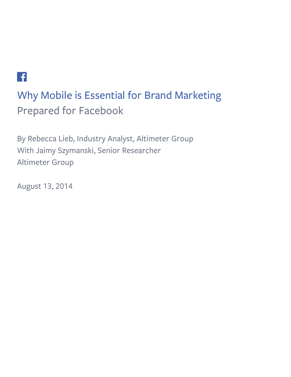# $\left\lceil \frac{\epsilon}{\epsilon} \right\rceil$

# Why Mobile is Essential for Brand Marketing Prepared for Facebook

By Rebecca Lieb, Industry Analyst, Altimeter Group With Jaimy Szymanski, Senior Researcher Altimeter Group

August 13, 2014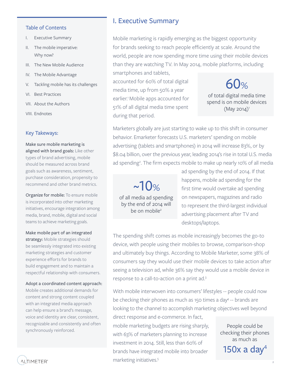#### Table of Contents

- I. Executive Summary
- II. The mobile imperative: Why now?
- III. The New Mobile Audience
- IV. The Mobile Advantage
- V. Tackling mobile has its challenges
- VI. Best Practices
- VII. About the Authors
- VIII. Endnotes

#### Key Takeways:

Make sure mobile marketing is aligned with brand goals: Like other types of brand advertising, mobile should be measured across brand goals such as awareness, sentiment, purchase consideration, propensity to recommend and other brand metrics.

Organize for mobile: To ensure mobile is incorporated into other marketing initiatives, encourage integration among media, brand, mobile, digital and social teams to achieve marketing goals.

Make mobile part of an integrated strategy: Mobile strategies should be seamlessly integrated into existing marketing strategies and customer experience efforts for brands to build engagement and to maintain a respectful relationship with consumers.

Adopt a coordinated content approach: Mobile creates additional demands for content and strong content coupled with an integrated media approach can help ensure a brand's message, voice and identity are clear, consistent, recognizable and consistently and often synchronously reinforced.

## I. Executive Summary

Mobile marketing is rapidly emerging as the biggest opportunity for brands seeking to reach people efficiently at scale. Around the world, people are now spending more time using their mobile devices than they are watching TV. In May 2014, mobile platforms, including smartphones and tablets,

accounted for 60% of total digital media time, up from 50% a year earlier.<sup>1</sup> Mobile apps accounted for 51% of all digital media time spent during that period.

60% of total digital media time spend is on mobile devices  $(May 2014)^1$ 

Marketers globally are just starting to wake up to this shift in consumer behavior. Emarketer forecasts U.S. marketers' spending on mobile advertising (tablets and smartphones) in 2014 will increase 83%, or by \$8.04 billion, over the previous year, leading 2014's rise in total U.S. media ad spending<sup>2</sup>. The firm expects mobile to make up nearly 10% of all media

 $~10%$ of all media ad spending by the end of 2014 will be on mobile<sup>2</sup>

ad spending by the end of 2014. If that happens, mobile ad spending for the first time would overtake ad spending on newspapers, magazines and radio to represent the third-largest individual advertising placement after TV and desktops/laptops.

The spending shift comes as mobile increasingly becomes the go-to device, with people using their mobiles to browse, comparison-shop and ultimately buy things. According to Mobile Marketer, some 38% of consumers say they would use their mobile devices to take action after seeing a television ad, while 36% say they would use a mobile device in response to a call-to-action on a print ad.3

With mobile interwoven into consumers' lifestyles -- people could now be checking their phones as much as 150 times a day<sup>4</sup> -- brands are looking to the channel to accomplish marketing objectives well beyond

direct response and e-commerce. In fact, mobile marketing budgets are rising sharply, with 63% of marketers planning to increase investment in 2014. Still, less than 60% of brands have integrated mobile into broader marketing initiatives.<sup>5</sup>

People could be checking their phones as much as 150 $x$  a day<sup>4</sup>

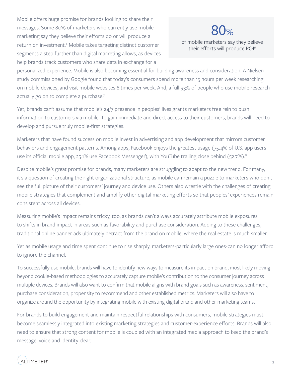Mobile offers huge promise for brands looking to share their messages. Some 80% of marketers who currently use mobile marketing say they believe their efforts do or will produce a return on investment.<sup>6</sup> Mobile takes targeting distinct customer segments a step further than digital marketing allows, as devices help brands track customers who share data in exchange for a

# 80%

of mobile marketers say they believe their efforts will produce ROI<sup>6</sup>

personalized experience. Mobile is also becoming essential for building awareness and consideration. A Nielsen study commissioned by Google found that today's consumers spend more than 15 hours per week researching on mobile devices, and visit mobile websites 6 times per week. And, a full 93% of people who use mobile research actually go on to complete a purchase.<sup>7</sup>

Yet, brands can't assume that mobile's 24/7 presence in peoples' lives grants marketers free rein to push information to customers via mobile. To gain immediate and direct access to their customers, brands will need to develop and pursue truly mobile-first strategies.

Marketers that have found success on mobile invest in advertising and app development that mirrors customer behaviors and engagement patterns. Among apps, Facebook enjoys the greatest usage (75.4% of U.S. app users use its official mobile app, 25.1% use Facebook Messenger), with YouTube trailing close behind (52.7%).<sup>8</sup>

Despite mobile's great promise for brands, many marketers are struggling to adapt to the new trend. For many, it's a question of creating the right organizational structure, as mobile can remain a puzzle to marketers who don't see the full picture of their customers' journey and device use. Others also wrestle with the challenges of creating mobile strategies that complement and amplify other digital marketing efforts so that peoples' experiences remain consistent across all devices.

Measuring mobile's impact remains tricky, too, as brands can't always accurately attribute mobile exposures to shifts in brand impact in areas such as favorability and purchase consideration. Adding to these challenges, traditional online banner ads ultimately detract from the brand on mobile, where the real estate is much smaller.

Yet as mobile usage and time spent continue to rise sharply, marketers-particularly large ones-can no longer afford to ignore the channel.

To successfully use mobile, brands will have to identify new ways to measure its impact on brand, most likely moving beyond cookie-based methodologies to accurately capture mobile's contribution to the consumer journey across multiple devices. Brands will also want to confirm that mobile aligns with brand goals such as awareness, sentiment, purchase consideration, propensity to recommend and other established metrics. Marketers will also have to organize around the opportunity by integrating mobile with existing digital brand and other marketing teams.

For brands to build engagement and maintain respectful relationships with consumers, mobile strategies must become seamlessly integrated into existing marketing strategies and customer-experience efforts. Brands will also need to ensure that strong content for mobile is coupled with an integrated media approach to keep the brand's message, voice and identity clear.

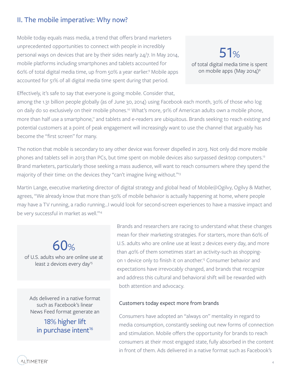# II. The mobile imperative: Why now?

Mobile today equals mass media, a trend that offers brand marketers unprecedented opportunities to connect with people in incredibly personal ways on devices that are by their sides nearly 24/7. In May 2014, mobile platforms including smartphones and tablets accounted for 60% of total digital media time, up from 50% a year earlier.9 Mobile apps accounted for 51% of all digital media time spent during that period.

51% of total digital media time is spent on mobile apps (May 2014)<sup>9</sup>

Effectively, it's safe to say that everyone is going mobile. Consider that,

among the 1.31 billion people globally (as of June 30, 2014) using Facebook each month, 30% of those who log on daily do so exclusively on their mobile phones.<sup>10</sup> What's more, 91% of American adults own a mobile phone, more than half use a smartphone,<sup>11</sup> and tablets and e-readers are ubiquitous. Brands seeking to reach existing and potential customers at a point of peak engagement will increasingly want to use the channel that arguably has become the "first screen" for many.

The notion that mobile is secondary to any other device was forever dispelled in 2013. Not only did more mobile phones and tablets sell in 2013 than PCs, but time spent on mobile devices also surpassed desktop computers.<sup>12</sup> Brand marketers, particularly those seeking a mass audience, will want to reach consumers where they spend the majority of their time: on the devices they "can't imagine living without."<sup>13</sup>

Martin Lange, executive marketing director of digital strategy and global head of Mobile@Ogilvy, Ogilvy & Mather, agrees, "We already know that more than 50% of mobile behavior is actually happening at home, where people may have a TV running, a radio running…I would look for second-screen experiences to have a massive impact and be very successful in market as well."<sup>14</sup>

 $60%$ of U.S. adults who are online use at least 2 devices every day<sup>15</sup>

Ads delivered in a native format such as Facebook's linear News Feed format generate an

> 18% higher lift in purchase intent<sup>16</sup>

Brands and researchers are racing to understand what these changes mean for their marketing strategies. For starters, more than 60% of U.S. adults who are online use at least 2 devices every day, and more than 40% of them sometimes start an activity-such as shoppingon 1 device only to finish it on another.<sup>15</sup> Consumer behavior and expectations have irrevocably changed, and brands that recognize and address this cultural and behavioral shift will be rewarded with both attention and advocacy.

#### Customers today expect more from brands

Consumers have adopted an "always on" mentality in regard to media consumption, constantly seeking out new forms of connection and stimulation. Mobile offers the opportunity for brands to reach consumers at their most engaged state, fully absorbed in the content in front of them. Ads delivered in a native format such as Facebook's

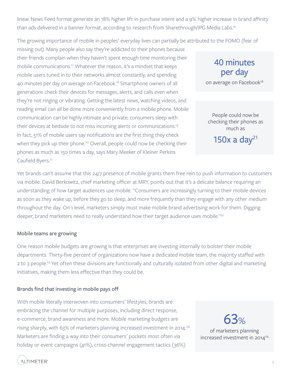linear News Feed format generate an 18% higher lift in purchase intent and a 9% higher increase in brand affinity than ads delivered in a banner format, according to research from Sharethrough/IPG Media Labs.16

The growing importance of mobile in peoples' everyday lives can partially be attributed to the FOMO (fear of

missing out). Many people also say they're addicted to their phones because their friends complain when they haven't spent enough time monitoring their mobile communications.<sup>17</sup> Whatever the reason, it's a mindset that keeps mobile users tuned in to their networks almost constantly, and spending 40 minutes per day on average on Facebook.<sup>18</sup> Smartphone owners of all generations check their devices for messages, alerts, and calls even when they're not ringing or vibrating. Getting the latest news, watching videos, and reading email can all be done more conveniently from a mobile phone. Mobile communication can be highly intimate and private; consumers sleep with their devices at bedside to not miss incoming alerts or communications.19 In fact, 51% of mobile users say notifications are the first thing they check when they pick up their phone.<sup>20</sup> Overall, people could now be checking their phones as much as 150 times a day, says Mary Meeker of Kleiner Perkins Caufield Byers.<sup>21</sup>

Yet brands can't assume that this 24/7 presence of mobile grants them free rein to push information to customers via mobile. David Berkowitz, chief marketing officer at MRY, points out that it's a delicate balance requiring an understanding of how target audiences use mobile. "Consumers are increasingly turning to their mobile devices as soon as they wake up, before they go to sleep, and more frequently than they engage with any other medium throughout the day. On 1 level, marketers simply must make mobile brand advertising work for them. Digging deeper, brand marketers need to really understand how their target audience uses mobile."<sup>22</sup>

## Mobile teams are growing

One reason mobile budgets are growing is that enterprises are investing internally to bolster their mobile departments. Thirty-five percent of organizations now have a dedicated mobile team, the majority staffed with 2 to 3 people.<sup>23</sup> Yet often these divisions are functionally and culturally isolated from other digital and marketing initiatives, making them less effective than they could be.

## Brands find that investing in mobile pays off

With mobile literally interwoven into consumers' lifestyles, brands are embracing the channel for multiple purposes, including direct response, e-commerce, brand awareness and more. Mobile marketing budgets are rising sharply, with 63% of marketers planning increased investment in 2014.<sup>24</sup> Marketers are finding a way into their consumers' pockets most often via holiday or event campaigns (41%), cross-channel engagement tactics (36%)

63% of marketers planning increased investment in 2014<sup>24</sup>

40 minutes

per day

on average on Facebook<sup>18</sup>

People could now be checking their phones as much as

150 $x$  a day<sup>21</sup>

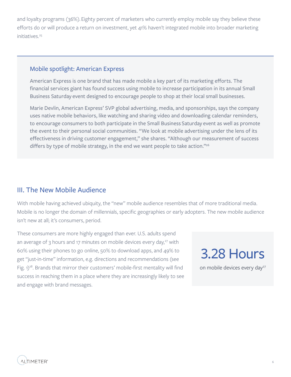and loyalty programs (36%). Eighty percent of marketers who currently employ mobile say they believe these efforts do or will produce a return on investment, yet 41% haven't integrated mobile into broader marketing initiatives.<sup>25</sup>

## Mobile spotlight: American Express

American Express is one brand that has made mobile a key part of its marketing efforts. The financial services giant has found success using mobile to increase participation in its annual Small Business Saturday event designed to encourage people to shop at their local small businesses.

Marie Devlin, American Express' SVP global advertising, media, and sponsorships, says the company uses native mobile behaviors, like watching and sharing video and downloading calendar reminders, to encourage consumers to both participate in the Small Business Saturday event as well as promote the event to their personal social communities. "We look at mobile advertising under the lens of its effectiveness in driving customer engagement," she shares. "Although our measurement of success differs by type of mobile strategy, in the end we want people to take action."<sup>26</sup>

## III. The New Mobile Audience

With mobile having achieved ubiquity, the "new" mobile audience resembles that of more traditional media. Mobile is no longer the domain of millennials, specific geographies or early adopters. The new mobile audience isn't new at all; it's consumers, period.

These consumers are more highly engaged than ever. U.S. adults spend an average of 3 hours and 17 minutes on mobile devices every day, $27$  with 60% using their phones to go online, 50% to download apps, and 49% to get "just-in-time" information, e.g. directions and recommendations (see Fig.  $1)^{28}$ . Brands that mirror their customers' mobile-first mentality will find success in reaching them in a place where they are increasingly likely to see and engage with brand messages.

3.28 Hours on mobile devices every day<sup>27</sup>

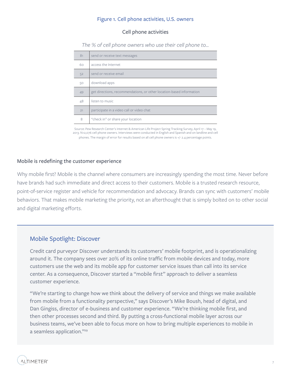### Figure 1. Cell phone activities, U.S. owners

#### Cell phone activities

*The % of cell phone owners who use their cell phone to...*

| 81 | send or receive text messages                                        |
|----|----------------------------------------------------------------------|
| 60 | access the Internet                                                  |
| 52 | send or receive email                                                |
| 50 | download apps                                                        |
| 49 | get directions, recommendations, or other location-based information |
| 48 | listen to music                                                      |
| 21 | participate in a video call or video chat                            |
| 8  | "check in" or share your location                                    |

Source: Pew Research Center's Internet & American Life Project Spring Tracking Survey, April 17 – May 19, 2013. N=2,076 cell phone owners. Interviews were conducted in English and Spanish and on landline and cell phones. The margin of error for results based on all cell phone owners is +/- 2.4 percentage points.

#### Mobile is redefining the customer experience

Why mobile first? Mobile is the channel where consumers are increasingly spending the most time. Never before have brands had such immediate and direct access to their customers. Mobile is a trusted research resource, point-of-service register and vehicle for recommendation and advocacy. Brands can sync with customers' mobile behaviors. That makes mobile marketing the priority, not an afterthought that is simply bolted on to other social and digital marketing efforts.

## Mobile Spotlight: Discover

Credit card purveyor Discover understands its customers' mobile footprint, and is operationalizing around it. The company sees over 20% of its online traffic from mobile devices and today, more customers use the web and its mobile app for customer service issues than call into its service center. As a consequence, Discover started a "mobile first" approach to deliver a seamless customer experience.

"We're starting to change how we think about the delivery of service and things we make available from mobile from a functionality perspective," says Discover's Mike Boush, head of digital, and Dan Gingiss, director of e-business and customer experience. "We're thinking mobile first, and then other processes second and third. By putting a cross-functional mobile layer across our business teams, we've been able to focus more on how to bring multiple experiences to mobile in a seamless application."<sup>29</sup>

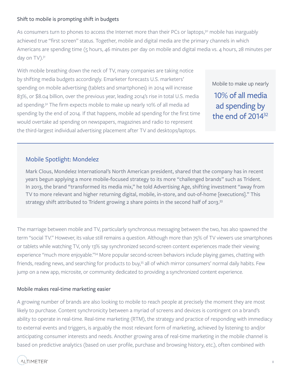## Shift to mobile is prompting shift in budgets

As consumers turn to phones to access the Internet more than their PCs or laptops,<sup>30</sup> mobile has inarguably achieved true "first screen" status. Together, mobile and digital media are the primary channels in which Americans are spending time (5 hours, 46 minutes per day on mobile and digital media vs. 4 hours, 28 minutes per day on TV).<sup>31</sup>

With mobile breathing down the neck of TV, many companies are taking notice by shifting media budgets accordingly. Emarketer forecasts U.S. marketers' spending on mobile advertising (tablets and smartphones) in 2014 will increase 83%, or \$8.04 billion, over the previous year, leading 2014's rise in total U.S. media ad spending.32 The firm expects mobile to make up nearly 10% of all media ad spending by the end of 2014. If that happens, mobile ad spending for the first time would overtake ad spending on newspapers, magazines and radio to represent the third-largest individual advertising placement after TV and desktops/laptops.

Mobile to make up nearly 10% of all media ad spending by the end of 2014<sup>32</sup>

## Mobile Spotlight: Mondelez

Mark Clous, Mondelez International's North American president, shared that the company has in recent years begun applying a more mobile-focused strategy to its more "challenged brands" such as Trident. In 2013, the brand "transformed its media mix," he told Advertising Age, shifting investment "away from TV to more relevant and higher returning digital, mobile, in-store, and out-of-home [executions]." This strategy shift attributed to Trident growing 2 share points in the second half of 2013.<sup>33</sup>

The marriage between mobile and TV, particularly synchronous messaging between the two, has also spawned the term "social TV." However, its value still remains a question. Although more than 75% of TV viewers use smartphones or tablets while watching TV, only 13% say synchronized second-screen content experiences made their viewing experience "much more enjoyable."<sup>34</sup> More popular second-screen behaviors include playing games, chatting with friends, reading news, and searching for products to buy,<sup>35</sup> all of which mirror consumers' normal daily habits. Few jump on a new app, microsite, or community dedicated to providing a synchronized content experience.

## Mobile makes real-time marketing easier

A growing number of brands are also looking to mobile to reach people at precisely the moment they are most likely to purchase. Content synchronicity between a myriad of screens and devices is contingent on a brand's ability to operate in real-time. Real-time marketing (RTM), the strategy and practice of responding with immediacy to external events and triggers, is arguably the most relevant form of marketing, achieved by listening to and/or anticipating consumer interests and needs. Another growing area of real-time marketing in the mobile channel is based on predictive analytics (based on user profile, purchase and browsing history, etc.), often combined with

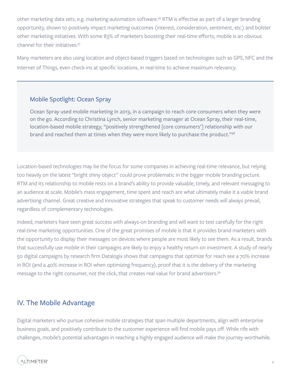other marketing data sets, e.g. marketing automation software.36 RTM is effective as part of a larger branding opportunity, shown to positively impact marketing outcomes (interest, consideration, sentiment, etc.) and bolster other marketing initiatives. With some 83% of marketers boosting their real-time efforts, mobile is an obvious channel for their initiatives.37

Many marketers are also using location and object-based triggers based on technologies such as GPS, NFC and the Internet of Things, even check-ins at specific locations, in real-time to achieve maximum relevancy.

## Mobile Spotlight: Ocean Spray

Ocean Spray used mobile marketing in 2013, in a campaign to reach core consumers when they were on the go. According to Christina Lynch, senior marketing manager at Ocean Spray, their real-time, location-based mobile strategy, "positively strengthened [core consumers'] relationship with our brand and reached them at times when they were more likely to purchase the product."<sup>38</sup>

Location-based technologies may be the focus for some companies in achieving real-time relevance, but relying too heavily on the latest "bright shiny object" could prove problematic in the bigger mobile branding picture. RTM and its relationship to mobile rests on a brand's ability to provide valuable, timely, and relevant messaging to an audience at scale. Mobile's mass engagement, time spent and reach are what ultimately make it a viable brand advertising channel. Great creative and innovative strategies that speak to customer needs will always prevail, regardless of complementary technologies.

Indeed, marketers have seen great success with always-on branding and will want to test carefully for the right real-time marketing opportunities. One of the great promises of mobile is that it provides brand marketers with the opportunity to display their messages on devices where people are most likely to see them. As a result, brands that successfully use mobile in their campaigns are likely to enjoy a healthy return on investment. A study of nearly 50 digital campaigns by research firm Datalogix shows that campaigns that optimize for reach see a 70% increase in ROI (and a 40% increase in ROI when optimizing frequency), proof that it is the delivery of the marketing message to the right consumer, not the click, that creates real value for brand advertisers.<sup>39</sup>

# IV. The Mobile Advantage

Digital marketers who pursue cohesive mobile strategies that span multiple departments, align with enterprise business goals, and positively contribute to the customer experience will find mobile pays off. While rife with challenges, mobile's potential advantages in reaching a highly engaged audience will make the journey worthwhile.

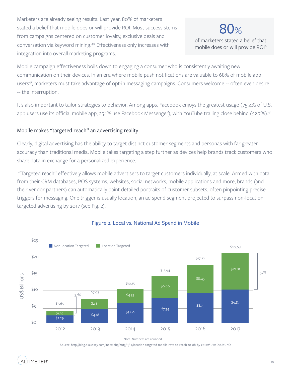Marketers are already seeing results. Last year, 80% of marketers stated a belief that mobile does or will provide ROI. Most success stems from campaigns centered on customer loyalty, exclusive deals and conversation via keyword mining.40 Effectiveness only increases with integration into overall marketing programs.

# 80%

of marketers stated a belief that mobile does or will provide ROI6

Mobile campaign effectiveness boils down to engaging a consumer who is consistently awaiting new communication on their devices. In an era where mobile push notifications are valuable to 68% of mobile app users<sup>41</sup>, marketers must take advantage of opt-in messaging campaigns. Consumers welcome -- often even desire -- the interruption.

It's also important to tailor strategies to behavior. Among apps, Facebook enjoys the greatest usage (75.4% of U.S. app users use its official mobile app, 25.1% use Facebook Messenger), with YouTube trailing close behind (52.7%).<sup>42</sup>

## Mobile makes "targeted reach" an advertising reality

Clearly, digital advertising has the ability to target distinct customer segments and personas with far greater accuracy than traditional media. Mobile takes targeting a step further as devices help brands track customers who share data in exchange for a personalized experience.

"Targeted reach" effectively allows mobile advertisers to target customers individually, at scale. Armed with data from their CRM databases, POS systems, websites, social networks, mobile applications and more, brands (and their vendor partners) can automatically paint detailed portraits of customer subsets, often pinpointing precise triggers for messaging. One trigger is usually location, an ad spend segment projected to surpass non-location targeted advertising by 2017 (see Fig. 2).



## Figure 2. Local vs. National Ad Spend in Mobile

Note: Numbers are rounded

Source: http://blog.biakelsey.com/index.php/2013/11/19/location-targeted-mobile-revs-to-reach-10-8b-by-2017/#.Uwe-X0JdUhQ

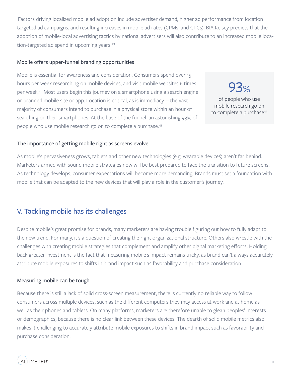Factors driving localized mobile ad adoption include advertiser demand, higher ad performance from location targeted ad campaigns, and resulting increases in mobile ad rates (CPMs, and CPCs). BIA Kelsey predicts that the adoption of mobile-local advertising tactics by national advertisers will also contribute to an increased mobile location-targeted ad spend in upcoming years.<sup>43</sup>

## Mobile offers upper-funnel branding opportunities

Mobile is essential for awareness and consideration. Consumers spend over 15 hours per week researching on mobile devices, and visit mobile websites 6 times per week.44 Most users begin this journey on a smartphone using a search engine or branded mobile site or app. Location is critical, as is immediacy -- the vast majority of consumers intend to purchase in a physical store within an hour of searching on their smartphones. At the base of the funnel, an astonishing 93% of people who use mobile research go on to complete a purchase.<sup>45</sup>

93% of people who use mobile research go on to complete a purchase<sup>45</sup>

### The importance of getting mobile right as screens evolve

As mobile's pervasiveness grows, tablets and other new technologies (e.g. wearable devices) aren't far behind. Marketers armed with sound mobile strategies now will be best prepared to face the transition to future screens. As technology develops, consumer expectations will become more demanding. Brands must set a foundation with mobile that can be adapted to the new devices that will play a role in the customer's journey.

# V. Tackling mobile has its challenges

Despite mobile's great promise for brands, many marketers are having trouble figuring out how to fully adapt to the new trend. For many, it's a question of creating the right organizational structure. Others also wrestle with the challenges with creating mobile strategies that complement and amplify other digital marketing efforts. Holding back greater investment is the fact that measuring mobile's impact remains tricky, as brand can't always accurately attribute mobile exposures to shifts in brand impact such as favorability and purchase consideration.

#### Measuring mobile can be tough

Because there is still a lack of solid cross-screen measurement, there is currently no reliable way to follow consumers across multiple devices, such as the different computers they may access at work and at home as well as their phones and tablets. On many platforms, marketers are therefore unable to glean peoples' interests or demographics, because there is no clear link between these devices. The dearth of solid mobile metrics also makes it challenging to accurately attribute mobile exposures to shifts in brand impact such as favorability and purchase consideration.

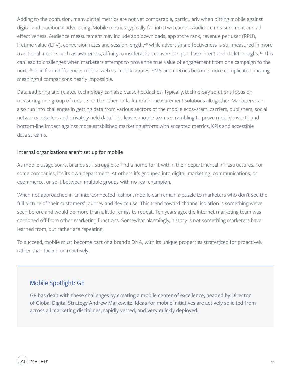Adding to the confusion, many digital metrics are not yet comparable, particularly when pitting mobile against digital and traditional advertising. Mobile metrics typically fall into two camps: Audience measurement and ad effectiveness. Audience measurement may include app downloads, app store rank, revenue per user (RPU), lifetime value (LTV), conversion rates and session length,<sup>46</sup> while advertising effectiveness is still measured in more traditional metrics such as awareness, affinity, consideration, conversion, purchase intent and click-throughs.<sup>47</sup> This can lead to challenges when marketers attempt to prove the true value of engagement from one campaign to the next. Add in form differences-mobile web vs. mobile app vs. SMS-and metrics become more complicated, making meaningful comparisons nearly impossible.

Data gathering and related technology can also cause headaches. Typically, technology solutions focus on measuring one group of metrics or the other, or lack mobile measurement solutions altogether. Marketers can also run into challenges in getting data from various sectors of the mobile ecosystem: carriers, publishers, social networks, retailers and privately held data. This leaves mobile teams scrambling to prove mobile's worth and bottom-line impact against more established marketing efforts with accepted metrics, KPIs and accessible data streams.

### Internal organizations aren't set up for mobile

As mobile usage soars, brands still struggle to find a home for it within their departmental infrastructures. For some companies, it's its own department. At others it's grouped into digital, marketing, communications, or ecommerce, or split between multiple groups with no real champion.

When not approached in an interconnected fashion, mobile can remain a puzzle to marketers who don't see the full picture of their customers' journey and device use. This trend toward channel isolation is something we've seen before and would be more than a little remiss to repeat. Ten years ago, the Internet marketing team was cordoned off from other marketing functions. Somewhat alarmingly, history is not something marketers have learned from, but rather are repeating.

To succeed, mobile must become part of a brand's DNA, with its unique properties strategized for proactively rather than tacked on reactively.

## Mobile Spotlight: GE

GE has dealt with these challenges by creating a mobile center of excellence, headed by Director of Global Digital Strategy Andrew Markowitz. Ideas for mobile initiatives are actively solicited from across all marketing disciplines, rapidly vetted, and very quickly deployed.

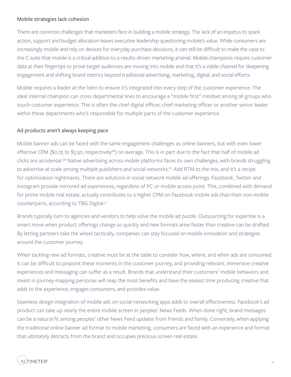### Mobile strategies lack cohesion

There are common challenges that marketers face in building a mobile strategy. The lack of an impetus to spark action, support and budget allocation leaves executive leadership questioning mobile's value. While consumers are increasingly mobile and rely on devices for everyday purchase decisions, it can still be difficult to make the case to the C-suite that mobile is a critical addition to a results-driven marketing arsenal. Mobile champions require customer data at their fingertips to prove target audiences are moving into mobile and that it's a viable channel for deepening engagement and shifting brand metrics beyond traditional advertising, marketing, digital, and social efforts.

Mobile requires a leader at the helm to ensure it's integrated into every step of the customer experience. The ideal internal champion can cross departmental lines to encourage a "mobile first" mindset among all groups who touch customer experience. This is often the chief digital officer, chief marketing officer or another senior leader within these departments who's responsible for multiple parts of the customer experience.

## Ad products aren't always keeping pace

Mobile banner ads can be faced with the same engagement challenges as online banners, but with even lower effective CPM (\$0.75 to \$3.50, respectively<sup>48</sup>) on average. This is in part due to the fact that half of mobile ad clicks are accidental.49 Native advertising across mobile platforms faces its own challenges, with brands struggling to advertise at scale among multiple publishers and social networks.<sup>50</sup> Add RTM to the mix, and it's a recipe for optimization nightmares. There are solutions in social network mobile ad offerings. Facebook, Twitter and Instagram provide mirrored ad experiences, regardless of PC or mobile access point. This, combined with demand for prime mobile real estate, actually contributes to a higher CPM on Facebook mobile ads than their non-mobile counterparts, according to TBG Digital.<sup>51</sup>

Brands typically turn to agencies and vendors to help solve the mobile ad puzzle. Outsourcing for expertise is a smart move when product offerings change so quickly and new formats arise faster than creative can be drafted. By letting partners take the wheel tactically, companies can stay focused on mobile innovation and strategies around the customer journey.

When tackling new ad formats, creative must be at the table to consider how, where, and when ads are consumed. It can be difficult to pinpoint these moments in the customer journey, and providing relevant, immersive creative experiences and messaging can suffer as a result. Brands that understand their customers' mobile behaviors and invest in journey-mapping personas will reap the most benefits and have the easiest time producing creative that adds to the experience, engages consumers, and provides value.

Seamless design integration of mobile ads on social networking apps adds to overall effectiveness. Facebook's ad product can take up nearly the entire mobile screen in peoples' News Feeds. When done right, brand messages can be a natural fit among peoples' other News Feed updates from friends and family. Conversely, when applying the traditional online banner ad format to mobile marketing, consumers are faced with an experience and format that ultimately detracts from the brand and occupies precious screen real estate.

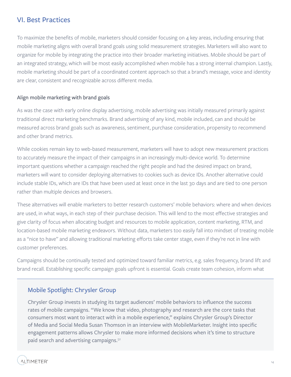# VI. Best Practices

To maximize the benefits of mobile, marketers should consider focusing on 4 key areas, including ensuring that mobile marketing aligns with overall brand goals using solid measurement strategies. Marketers will also want to organize for mobile by integrating the practice into their broader marketing initiatives. Mobile should be part of an integrated strategy, which will be most easily accomplished when mobile has a strong internal champion. Lastly, mobile marketing should be part of a coordinated content approach so that a brand's message, voice and identity are clear, consistent and recognizable across different media.

## Align mobile marketing with brand goals

As was the case with early online display advertising, mobile advertising was initially measured primarily against traditional direct marketing benchmarks. Brand advertising of any kind, mobile included, can and should be measured across brand goals such as awareness, sentiment, purchase consideration, propensity to recommend and other brand metrics.

While cookies remain key to web-based measurement, marketers will have to adopt new measurement practices to accurately measure the impact of their campaigns in an increasingly multi-device world. To determine important questions whether a campaign reached the right people and had the desired impact on brand, marketers will want to consider deploying alternatives to cookies such as device IDs. Another alternative could include stable IDs, which are IDs that have been used at least once in the last 30 days and are tied to one person rather than multiple devices and browsers.

These alternatives will enable marketers to better research customers' mobile behaviors: where and when devices are used, in what ways, in each step of their purchase decision. This will lend to the most effective strategies and give clarity of focus when allocating budget and resources to mobile application, content marketing, RTM, and location-based mobile marketing endeavors. Without data, marketers too easily fall into mindset of treating mobile as a "nice to have" and allowing traditional marketing efforts take center stage, even if they're not in line with customer preferences.

Campaigns should be continually tested and optimized toward familiar metrics, e.g. sales frequency, brand lift and brand recall. Establishing specific campaign goals upfront is essential. Goals create team cohesion, inform what

## Mobile Spotlight: Chrysler Group

Chrysler Group invests in studying its target audiences' mobile behaviors to influence the success rates of mobile campaigns. "We know that video, photography and research are the core tasks that consumers most want to interact with in a mobile experience," explains Chrysler Group's Director of Media and Social Media Susan Thomson in an interview with MobileMarketer. Insight into specific engagement patterns allows Chrysler to make more informed decisions when it's time to structure paid search and advertising campaigns.52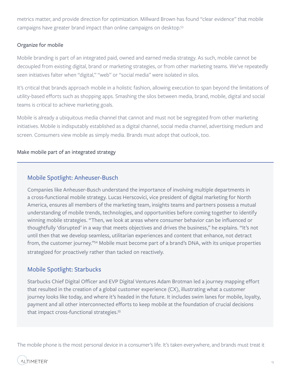metrics matter, and provide direction for optimization. Millward Brown has found "clear evidence" that mobile campaigns have greater brand impact than online campaigns on desktop.<sup>53</sup>

## Organize for mobile

Mobile branding is part of an integrated paid, owned and earned media strategy. As such, mobile cannot be decoupled from existing digital, brand or marketing strategies, or from other marketing teams. We've repeatedly seen initiatives falter when "digital," "web" or "social media" were isolated in silos.

It's critical that brands approach mobile in a holistic fashion, allowing execution to span beyond the limitations of utility-based efforts such as shopping apps. Smashing the silos between media, brand, mobile, digital and social teams is critical to achieve marketing goals.

Mobile is already a ubiquitous media channel that cannot and must not be segregated from other marketing initiatives. Mobile is indisputably established as a digital channel, social media channel, advertising medium and screen. Consumers view mobile as simply media. Brands must adopt that outlook, too.

## Make mobile part of an integrated strategy

## Mobile Spotlight: Anheuser-Busch

Companies like Anheuser-Busch understand the importance of involving multiple departments in a cross-functional mobile strategy. Lucas Herscovici, vice president of digital marketing for North America, ensures all members of the marketing team, insights teams and partners possess a mutual understanding of mobile trends, technologies, and opportunities before coming together to identify winning mobile strategies. "Then, we look at areas where consumer behavior can be influenced or thoughtfully 'disrupted' in a way that meets objectives and drives the business," he explains. "It's not until then that we develop seamless, utilitarian experiences and content that enhance, not detract from, the customer journey."54 Mobile must become part of a brand's DNA, with its unique properties strategized for proactively rather than tacked on reactively.

## Mobile Spotlight: Starbucks

Starbucks Chief Digital Officer and EVP Digital Ventures Adam Brotman led a journey mapping effort that resulted in the creation of a global customer experience (CX), illustrating what a customer journey looks like today, and where it's headed in the future. It includes swim lanes for mobile, loyalty, payment and all other interconnected efforts to keep mobile at the foundation of crucial decisions that impact cross-functional strategies.55

The mobile phone is the most personal device in a consumer's life. It's taken everywhere, and brands must treat it

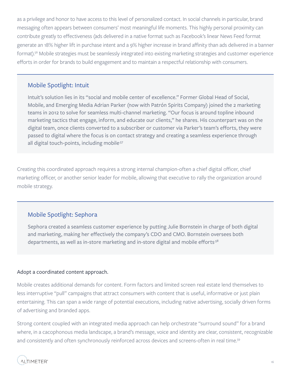as a privilege and honor to have access to this level of personalized contact. In social channels in particular, brand messaging often appears between consumers' most meaningful life moments. This highly personal proximity can contribute greatly to effectiveness (ads delivered in a native format such as Facebook's linear News Feed format generate an 18% higher lift in purchase intent and a 9% higher increase in brand affinity than ads delivered in a banner format).<sup>56</sup> Mobile strategies must be seamlessly integrated into existing marketing strategies and customer experience efforts in order for brands to build engagement and to maintain a respectful relationship with consumers.

## Mobile Spotlight: Intuit

Intuit's solution lies in its "social and mobile center of excellence." Former Global Head of Social, Mobile, and Emerging Media Adrian Parker (now with Patrón Spirits Company) joined the 2 marketing teams in 2012 to solve for seamless multi-channel marketing. "Our focus is around topline inbound marketing tactics that engage, inform, and educate our clients," he shares. His counterpart was on the digital team, once clients converted to a subscriber or customer via Parker's team's efforts, they were passed to digital where the focus is on contact strategy and creating a seamless experience through all digital touch-points, including mobile<sup>57</sup>

Creating this coordinated approach requires a strong internal champion-often a chief digital officer, chief marketing officer, or another senior leader for mobile, allowing that executive to rally the organization around mobile strategy.

## Mobile Spotlight: Sephora

Sephora created a seamless customer experience by putting Julie Bornstein in charge of both digital and marketing, making her effectively the company's CDO and CMO. Bornstein oversees both departments, as well as in-store marketing and in-store digital and mobile efforts<sup>58</sup>

## Adopt a coordinated content approach.

Mobile creates additional demands for content. Form factors and limited screen real estate lend themselves to less interruptive "pull" campaigns that attract consumers with content that is useful, informative or just plain entertaining. This can span a wide range of potential executions, including native advertising, socially driven forms of advertising and branded apps.

Strong content coupled with an integrated media approach can help orchestrate "surround sound" for a brand where, in a cacophonous media landscape, a brand's message, voice and identity are clear, consistent, recognizable and consistently and often synchronously reinforced across devices and screens-often in real time.<sup>59</sup>

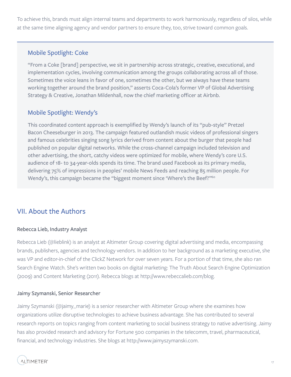To achieve this, brands must align internal teams and departments to work harmoniously, regardless of silos, while at the same time aligning agency and vendor partners to ensure they, too, strive toward common goals.

## Mobile Spotlight: Coke

"From a Coke [brand] perspective, we sit in partnership across strategic, creative, executional, and implementation cycles, involving communication among the groups collaborating across all of those. Sometimes the voice leans in favor of one, sometimes the other, but we always have these teams working together around the brand position," asserts Coca-Cola's former VP of Global Advertising Strategy & Creative, Jonathan Mildenhall, now the chief marketing officer at Airbnb.

## Mobile Spotlight: Wendy's

This coordinated content approach is exemplified by Wendy's launch of its "pub-style" Pretzel Bacon Cheeseburger in 2013. The campaign featured outlandish music videos of professional singers and famous celebrities singing song lyrics derived from content about the burger that people had published on popular digital networks. While the cross-channel campaign included television and other advertising, the short, catchy videos were optimized for mobile, where Wendy's core U.S. audience of 18- to 34-year-olds spends its time. The brand used Facebook as its primary media, delivering 75% of impressions in peoples' mobile News Feeds and reaching 85 million people. For Wendy's, this campaign became the "biggest moment since 'Where's the Beef?"<sup>60</sup>

# VII. About the Authors

## Rebecca Lieb, Industry Analyst

Rebecca Lieb (@lieblink) is an analyst at Altimeter Group covering digital advertising and media, encompassing brands, publishers, agencies and technology vendors. In addition to her background as a marketing executive, she was VP and editor-in-chief of the ClickZ Network for over seven years. For a portion of that time, she also ran Search Engine Watch. She's written two books on digital marketing: The Truth About Search Engine Optimization (2009) and Content Marketing (2011). Rebecca blogs at http://www.rebeccalieb.com/blog.

## Jaimy Szymanski, Senior Researcher

Jaimy Szymanski (@jaimy\_marie) is a senior researcher with Altimeter Group where she examines how organizations utilize disruptive technologies to achieve business advantage. She has contributed to several research reports on topics ranging from content marketing to social business strategy to native advertising. Jaimy has also provided research and advisory for Fortune 500 companies in the telecomm, travel, pharmaceutical, financial, and technology industries. She blogs at http://www.jaimyszymanski.com.

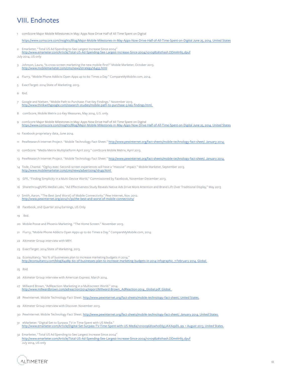# VIII. Endnotes

1 comScore Major Mobile Milestones in May: Apps Now Drive Half of All Time Spent on Digital

https://www.comscore.com/Insights/Blog/Major-Mobile-Milestones-in-May-Apps-Now-Drive-Half-of-All-Time-Spent-on-Digital June 25, 2014. United States

2 Emarketer, "Total US Ad Spending to See Largest Increase Since 2004<mark>"</mark><br>http://www.emarketer.com/Article/Total-US-Ad-Spending-See-Largest-Increase-Since-2004/1010982#sthash.DDmAHli5.dpuf

July 2014, US only

- 3 Johnson, Laura, "Is cross-screen marketing the new mobile-first?" Mobile Marketer, October 2013. http://www.mobilemarketer.com/cms/news/strategy/16455.html
- 4 Flurry, "Mobile Phone Addicts Open Apps up to 60 Times a Day." CompareMyMobile.com, 2014.
- 5 ExactTarget: 2014 State of Marketing. 2013.

6 Ibid.

- 7 Google and Nielsen. "Mobile Path to Purchase: Five Key Findings." November 2013. http://www.thinkwithgoogle.com/research-studies/mobile-path-to-purchase-5-key-findings.html.
- 8 comScore, Mobile Metrix 2.0 Key Measures, May 2014, U.S. only.
- 9 comScore Major Mobile Milestones in May: Apps Now Drive Half of All Time Spent on Digital https://www.comscore.com/Insights/Blog/Major-Mobile-Milestones-in-May-Apps-Now-Drive-Half-of-All-Time-Spent-on-Digital June 25, 2014. United States
- 10 Facebook proprietary data, June 2014.
- 11 PewResearch Internet Project. "Mobile Technology Fact Sheet." http://www.pewinternet.org/fact-sheets/mobile-technology-fact-sheet/. January 2014.
- 12 comScore. "Media Metrix Multiplatform April 2013." comScore Mobile Metrix, April 2013.
- 13 PewResearch Internet Project. "Mobile Technology Fact Sheet." http://www.pewinternet.org/fact-sheets/mobile-technology-fact-sheet/. January 2014.
- 14 Tode, Chantal. "Ogilvy exec: Second-screen experiences will have a "massive" impact." Mobile Marketer, September 2013. http://www.mobilemarketer.com/cms/news/advertising/16149.html
- 15 GFK, "Finding Simplicity in a Multi-Device World," Commissioned by Facebook, November-December 2013.
- 16 Sharethrough/IPG Medial Labs, "Ad Effectiveness Study Reveals Native Ads Drive More Attention and Brand Lift Over Traditional Display," May 2013
- 17 Smith, Aaron, "The Best (and Worst) of Mobile Connectivity." Pew Internet, Nov. 2012. http://www.pewinternet.org/2012/11/30/the-best-and-worst-of-mobile-connectivity/
- 18 Facebook, 2nd Quarter 2014 Earnings, US Only
- 19 Ibid.
- 20 Mobile Posse and Phoenix Marketing. "The Home Screen." November 2013.
- 21 Flurry, "Mobile Phone Addicts Open Apps up to 60 Times a Day." CompareMyMobile.com, 2014.
- 22 Altimeter Group interview with MRY.
- 23 ExactTarget: 2014 State of Marketing. 2013.
- 24 Econsultancy. "60 % of businesses plan to increase marketing budgets in 2014." http://econsultancy.com/blog/64289-60-of-businesses-plan-to-increase-marketing-budgets-in-2014-infographic. 7 February 2014. Global.

25 Ibid.

- 26 Altimeter Group interview with American Express. March 2014.
- 27 Millward Brown, "AdReaction: Marketing in a Multiscreen World." 2014. http://www.millwardbrown.com/adreaction/2014/report/Millward-Brown\_AdReaction-2014\_Global.pdf. Global.
- 28 PewInternet. Mobile Technology Fact Sheet. http://www.pewinternet.org/fact-sheets/mobile-technology-fact-sheet/. United States.
- 29 Altimeter Group interview with Discover. November 2013.
- 30 PewInternet. Mobile Technology Fact Sheet. http://www.pewinternet.org/fact-sheets/mobile-technology-fact-sheet/. January 2014. United States.
- 31 eMarketer. "Digital Set to Surpass TV in Time Spent with US Media." http://www.emarketer.com/Article/Digital-Set-Surpass-TV-Time-Spent-with-US-Media/1010096#owh0E6yjJAXAqsDL.99. 1 August 2013. United States.
- 32 Emarketer, "Total US Ad Spending to See Largest Increase Since 2004" http://www.emarketer.com/Article/Total-US-Ad-Spending-See-Largest-Increase-Since-2004/1010982#sthash.DDmAHli5.dpuf July 2014, US only